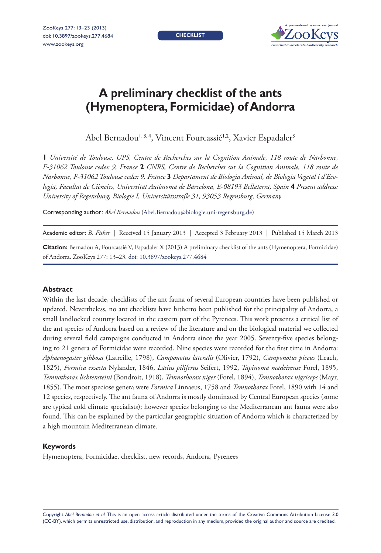**CHECKLIST** 



# **A preliminary checklist of the ants (Hymenoptera, Formicidae) of Andorra**

Abel Bernadou<sup>1, 3, 4</sup>, Vincent Fourcassié<sup>1, 2</sup>, Xavier Espadaler<sup>3</sup>

**1** *Université de Toulouse, UPS, Centre de Recherches sur la Cognition Animale, 118 route de Narbonne, F-31062 Toulouse cedex 9, France* **2** *CNRS, Centre de Recherches sur la Cognition Animale, 118 route de Narbonne, F-31062 Toulouse cedex 9, France* **3** *Departament de Biologia Animal, de Biologia Vegetal i d'Ecologia, Facultat de Ciències, Universitat Autònoma de Barcelona, E-08193 Bellaterra, Spain* **4** *Present address: University of Regensburg, Biologie I, Universitätsstraße 31, 93053 Regensburg, Germany*

Corresponding author: *Abel Bernadou* [\(Abel.Bernadou@biologie.uni-regensburg.de\)](mailto:Abel.Bernadou%40biologie.uni-regensburg.de?subject=)

Academic editor: *B. Fisher* | Received 15 January 2013 | Accepted 3 February 2013 | Published 15 March 2013

**Citation:** Bernadou A, Fourcassié V, Espadaler X (2013) A preliminary checklist of the ants (Hymenoptera, Formicidae) of Andorra. ZooKeys 277: 13–23. [doi: 10.3897/zookeys.277.4684](http://dx.doi.org/10.3897/zookeys.277.4684)

#### **Abstract**

Within the last decade, checklists of the ant fauna of several European countries have been published or updated. Nevertheless, no ant checklists have hitherto been published for the principality of Andorra, a small landlocked country located in the eastern part of the Pyrenees. This work presents a critical list of the ant species of Andorra based on a review of the literature and on the biological material we collected during several field campaigns conducted in Andorra since the year 2005. Seventy-five species belonging to 21 genera of Formicidae were recorded. Nine species were recorded for the first time in Andorra: *Aphaenogaster gibbosa* (Latreille, 1798), *Camponotus lateralis* (Olivier, 1792), *Camponotus piceus* (Leach, 1825), *Formica exsecta* Nylander, 1846, *Lasius piliferus* Seifert, 1992, *Tapinoma madeirense* Forel, 1895, *Temnothorax lichtensteini* (Bondroit, 1918), *Temnothorax niger* (Forel, 1894), *Temnothorax nigriceps* (Mayr, 1855). The most speciose genera were *Formica* Linnaeus, 1758 and *Temnothorax* Forel, 1890 with 14 and 12 species, respectively. The ant fauna of Andorra is mostly dominated by Central European species (some are typical cold climate specialists); however species belonging to the Mediterranean ant fauna were also found. This can be explained by the particular geographic situation of Andorra which is characterized by a high mountain Mediterranean climate.

#### **Keywords**

Hymenoptera, Formicidae, checklist, new records, Andorra, Pyrenees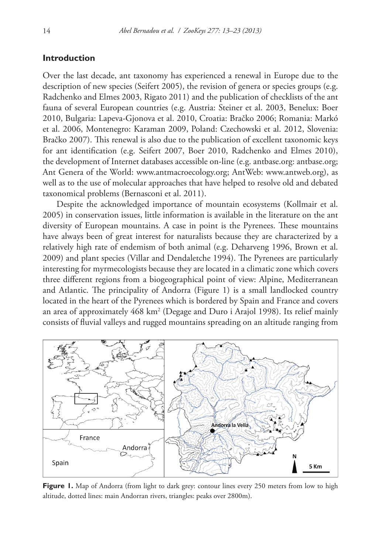# **Introduction**

Over the last decade, ant taxonomy has experienced a renewal in Europe due to the description of new species (Seifert 2005), the revision of genera or species groups (e.g. Radchenko and Elmes 2003, Rigato 2011) and the publication of checklists of the ant fauna of several European countries (e.g. Austria: Steiner et al. 2003, Benelux: Boer 2010, Bulgaria: Lapeva-Gjonova et al. 2010, Croatia: Bračko 2006; Romania: Markó et al. 2006, Montenegro: Karaman 2009, Poland: Czechowski et al. 2012, Slovenia: Bračko 2007). This renewal is also due to the publication of excellent taxonomic keys for ant identification (e.g. Seifert 2007, Boer 2010, Radchenko and Elmes 2010), the development of Internet databases accessible on-line (e.g. antbase.org: antbase.org; Ant Genera of the World: [www.antmacroecology.org;](http://www.antmacroecology.org) AntWeb: [www.antweb.org\)](http://www.antweb.org), as well as to the use of molecular approaches that have helped to resolve old and debated taxonomical problems (Bernasconi et al. 2011).

Despite the acknowledged importance of mountain ecosystems (Kollmair et al. 2005) in conservation issues, little information is available in the literature on the ant diversity of European mountains. A case in point is the Pyrenees. These mountains have always been of great interest for naturalists because they are characterized by a relatively high rate of endemism of both animal (e.g. Deharveng 1996, Brown et al. 2009) and plant species (Villar and Dendaletche 1994). The Pyrenees are particularly interesting for myrmecologists because they are located in a climatic zone which covers three different regions from a biogeographical point of view: Alpine, Mediterranean and Atlantic. The principality of Andorra (Figure 1) is a small landlocked country located in the heart of the Pyrenees which is bordered by Spain and France and covers an area of approximately 468 km<sup>2</sup> (Degage and Duro i Arajol 1998). Its relief mainly consists of fluvial valleys and rugged mountains spreading on an altitude ranging from



Figure 1. Map of Andorra (from light to dark grey: contour lines every 250 meters from low to high altitude, dotted lines: main Andorran rivers, triangles: peaks over 2800m).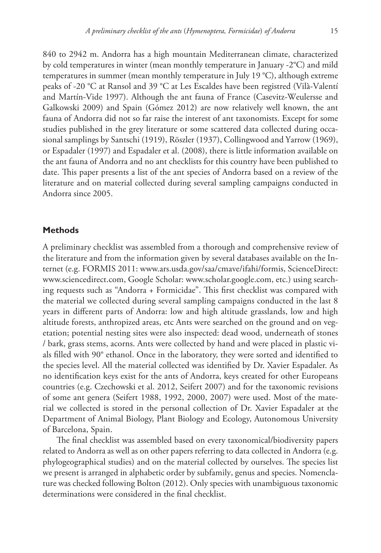840 to 2942 m. Andorra has a high mountain Mediterranean climate, characterized by cold temperatures in winter (mean monthly temperature in January -2°C) and mild temperatures in summer (mean monthly temperature in July 19 °C), although extreme peaks of -20 °C at Ransol and 39 °C at Les Escaldes have been registred (Vilà-Valentí and Martín-Vide 1997). Although the ant fauna of France (Casevitz-Weulersse and Galkowski 2009) and Spain (Gómez 2012) are now relatively well known, the ant fauna of Andorra did not so far raise the interest of ant taxonomists. Except for some studies published in the grey literature or some scattered data collected during occasional samplings by Santschi (1919), Röszler (1937), Collingwood and Yarrow (1969), or Espadaler (1997) and Espadaler et al. (2008), there is little information available on the ant fauna of Andorra and no ant checklists for this country have been published to date. This paper presents a list of the ant species of Andorra based on a review of the literature and on material collected during several sampling campaigns conducted in Andorra since 2005.

# **Methods**

A preliminary checklist was assembled from a thorough and comprehensive review of the literature and from the information given by several databases available on the Internet (e.g. FORMIS 2011: [www.ars.usda.gov/saa/cmave/ifahi/formis](http://www.ars.usda.gov/saa/cmave/ifahi/formis), ScienceDirect: [www.sciencedirect.com,](http://www.sciencedirect.com) Google Scholar: [www.scholar.google.com,](http://www.scholar.google.com) etc.) using searching requests such as "Andorra + Formicidae". This first checklist was compared with the material we collected during several sampling campaigns conducted in the last 8 years in different parts of Andorra: low and high altitude grasslands, low and high altitude forests, anthropized areas, etc Ants were searched on the ground and on vegetation; potential nesting sites were also inspected: dead wood, underneath of stones / bark, grass stems, acorns. Ants were collected by hand and were placed in plastic vials filled with 90° ethanol. Once in the laboratory, they were sorted and identified to the species level. All the material collected was identified by Dr. Xavier Espadaler. As no identification keys exist for the ants of Andorra, keys created for other Europeans countries (e.g. Czechowski et al. 2012, Seifert 2007) and for the taxonomic revisions of some ant genera (Seifert 1988, 1992, 2000, 2007) were used. Most of the material we collected is stored in the personal collection of Dr. Xavier Espadaler at the Department of Animal Biology, Plant Biology and Ecology, Autonomous University of Barcelona, Spain.

The final checklist was assembled based on every taxonomical/biodiversity papers related to Andorra as well as on other papers referring to data collected in Andorra (e.g. phylogeographical studies) and on the material collected by ourselves. The species list we present is arranged in alphabetic order by subfamily, genus and species. Nomenclature was checked following Bolton (2012). Only species with unambiguous taxonomic determinations were considered in the final checklist.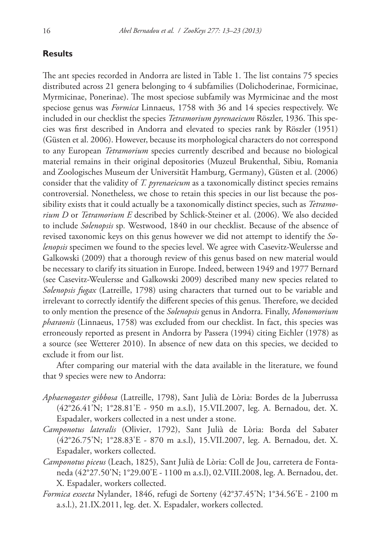## **Results**

The ant species recorded in Andorra are listed in Table 1. The list contains 75 species distributed across 21 genera belonging to 4 subfamilies (Dolichoderinae, Formicinae, Myrmicinae, Ponerinae). The most speciose subfamily was Myrmicinae and the most speciose genus was *Formica* Linnaeus, 1758 with 36 and 14 species respectively. We included in our checklist the species *Tetramorium pyrenaeicum* Röszler, 1936. This species was first described in Andorra and elevated to species rank by Röszler (1951) (Güsten et al. 2006). However, because its morphological characters do not correspond to any European *Tetramorium* species currently described and because no biological material remains in their original depositories (Muzeul Brukenthal, Sibiu, Romania and Zoologisches Museum der Universität Hamburg, Germany), Güsten et al. (2006) consider that the validity of *T. pyrenaeicum* as a taxonomically distinct species remains controversial. Nonetheless, we chose to retain this species in our list because the possibility exists that it could actually be a taxonomically distinct species, such as *Tetramorium D* or *Tetramorium E* described by Schlick-Steiner et al. (2006). We also decided to include *Solenopsis* sp*.* Westwood, 1840 in our checklist. Because of the absence of revised taxonomic keys on this genus however we did not attempt to identify the *Solenopsis* specimen we found to the species level. We agree with Casevitz-Weulersse and Galkowski (2009) that a thorough review of this genus based on new material would be necessary to clarify its situation in Europe. Indeed, between 1949 and 1977 Bernard (see Casevitz-Weulersse and Galkowski 2009) described many new species related to *Solenopsis fugax* (Latreille, 1798) using characters that turned out to be variable and irrelevant to correctly identify the different species of this genus. Therefore, we decided to only mention the presence of the *Solenopsis* genus in Andorra. Finally, *Monomorium pharaonis* (Linnaeus, 1758) was excluded from our checklist. In fact, this species was erroneously reported as present in Andorra by Passera (1994) citing Eichler (1978) as a source (see Wetterer 2010). In absence of new data on this species, we decided to exclude it from our list.

After comparing our material with the data available in the literature, we found that 9 species were new to Andorra:

- *Aphaenogaster gibbosa* (Latreille, 1798), Sant Julià de Lòria: Bordes de la Juberrussa (42°26.41'N; 1°28.81'E - 950 m a.s.l), 15.VII.2007, leg. A. Bernadou, det. X. Espadaler, workers collected in a nest under a stone.
- *Camponotus lateralis* (Olivier, 1792), Sant Julià de Lòria: Borda del Sabater (42°26.75'N; 1°28.83'E - 870 m a.s.l), 15.VII.2007, leg. A. Bernadou, det. X. Espadaler, workers collected.
- *Camponotus piceus* (Leach, 1825), Sant Julià de Lòria: Coll de Jou, carretera de Fontaneda (42°27.50'N; 1°29.00'E - 1100 m a.s.l), 02.VIII.2008, leg. A. Bernadou, det. X. Espadaler, workers collected.
- *Formica exsecta* Nylander, 1846, refugi de Sorteny (42°37.45'N; 1°34.56'E 2100 m a.s.l.), 21.IX.2011, leg. det. X. Espadaler, workers collected.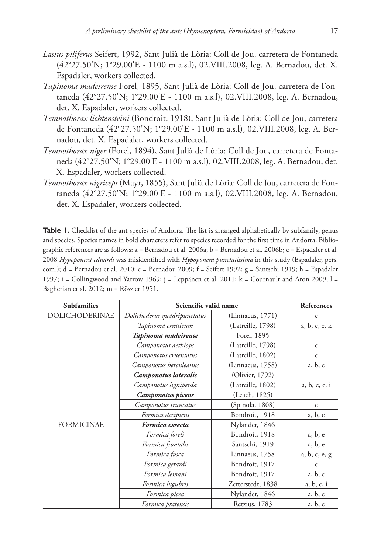- *Lasius piliferus* Seifert, 1992, Sant Julià de Lòria: Coll de Jou, carretera de Fontaneda (42°27.50'N; 1°29.00'E - 1100 m a.s.l), 02.VIII.2008, leg. A. Bernadou, det. X. Espadaler, workers collected.
- *Tapinoma madeirense* Forel, 1895, Sant Julià de Lòria: Coll de Jou, carretera de Fontaneda (42°27.50'N; 1°29.00'E - 1100 m a.s.l), 02.VIII.2008, leg. A. Bernadou, det. X. Espadaler, workers collected.
- *Temnothorax lichtensteini* (Bondroit, 1918), Sant Julià de Lòria: Coll de Jou, carretera de Fontaneda (42°27.50'N; 1°29.00'E - 1100 m a.s.l), 02.VIII.2008, leg. A. Bernadou, det. X. Espadaler, workers collected.
- *Temnothorax niger* (Forel, 1894), Sant Julià de Lòria: Coll de Jou, carretera de Fontaneda (42°27.50'N; 1°29.00'E - 1100 m a.s.l), 02.VIII.2008, leg. A. Bernadou, det. X. Espadaler, workers collected.
- *Temnothorax nigriceps* (Mayr, 1855), Sant Julià de Lòria: Coll de Jou, carretera de Fontaneda (42°27.50'N; 1°29.00'E - 1100 m a.s.l), 02.VIII.2008, leg. A. Bernadou, det. X. Espadaler, workers collected.

**Table 1.** Checklist of the ant species of Andorra. The list is arranged alphabetically by subfamily, genus and species. Species names in bold characters refer to species recorded for the first time in Andorra. Bibliographic references are as follows: a = Bernadou et al. 2006a; b = Bernadou et al. 2006b; c = Espadaler et al. 2008 *Hypoponera eduardi* was misidentified with *Hypoponera punctatissima* in this study (Espadaler, pers. com.); d = Bernadou et al. 2010; e = Bernadou 2009; f = Seifert 1992; g = Santschi 1919; h = Espadaler 1997; i = Collingwood and Yarrow 1969; j = Leppänen et al. 2011;  $k =$  Cournault and Aron 2009; l = Bagherian et al. 2012; m = Röszler 1951.

| <b>Subfamilies</b>    | Scientific valid name        |                   | References    |
|-----------------------|------------------------------|-------------------|---------------|
| <b>DOLICHODERINAE</b> | Dolichoderus quadripunctatus | (Linnaeus, 1771)  | $\mathsf{C}$  |
|                       | Tapinoma erraticum           | (Latreille, 1798) | a, b, c, e, k |
|                       | Tapinoma madeirense          | Forel, 1895       |               |
| <b>FORMICINAE</b>     | Camponotus aethiops          | (Latreille, 1798) | $\mathsf{C}$  |
|                       | Camponotus cruentatus        | (Latreille, 1802) | $\mathsf{C}$  |
|                       | Camponotus herculeanus       | (Linnaeus, 1758)  | a, b, e       |
|                       | Camponotus lateralis         | (Olivier, 1792)   |               |
|                       | Camponotus ligniperda        | (Latreille, 1802) | a, b, c, e, i |
|                       | Camponotus piceus            | (Leach, 1825)     |               |
|                       | Camponotus truncatus         | (Spinola, 1808)   | $\mathsf{C}$  |
|                       | Formica decipiens            | Bondroit, 1918    | a, b, e       |
|                       | Formica exsecta              | Nylander, 1846    |               |
|                       | Formica foreli               | Bondroit, 1918    | a, b, e       |
|                       | Formica frontalis            | Santschi, 1919    | a, b, e       |
|                       | Formica fusca                | Linnaeus, 1758    | a, b, c, e, g |
|                       | Formica gerardi              | Bondroit, 1917    | $\mathsf{C}$  |
|                       | Formica lemani               | Bondroit, 1917    | a, b, e       |
|                       | Formica lugubris             | Zetterstedt, 1838 | a, b, e, i    |
|                       | Formica picea                | Nylander, 1846    | a, b, e       |
|                       | Formica pratensis            | Retzius, 1783     | a, b, e       |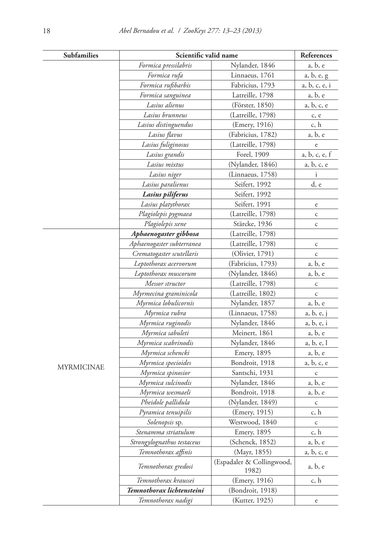| Subfamilies       | Scientific valid name      |                                    | References    |
|-------------------|----------------------------|------------------------------------|---------------|
|                   | Formica pressilabris       | Nylander, 1846                     | a, b, e       |
|                   | Formica rufa               | Linnaeus, 1761                     | a, b, e, g    |
|                   | Formica rufibarbis         | Fabricius, 1793                    | a, b, c, e, i |
|                   | Formica sanguinea          | Latreille, 1798                    | a, b, e       |
|                   | Lasius alienus             | (Förster, 1850)                    | a, b, c, e    |
|                   | Lasius brunneus            | (Latreille, 1798)                  | c, e          |
|                   | Lasius distinguendus       | (Emery, 1916)                      | c, h          |
|                   | Lasius flavus              | (Fabricius, 1782)                  | a, b, e       |
|                   | Lasius fuliginosus         | (Latreille, 1798)                  | e             |
|                   | Lasius grandis             | Forel, 1909                        | a, b, c, e, f |
|                   | Lasius mixtus              | (Nylander, 1846)                   | a, b, c, e    |
|                   | Lasius niger               | (Linnaeus, 1758)                   | $\mathbf{i}$  |
|                   | Lasius paralienus          | Seifert, 1992                      | d, e          |
|                   | Lasius piliferus           | Seifert, 1992                      |               |
|                   | Lasius platythorax         | Seifert, 1991                      | $\rm e$       |
|                   | Plagiolepis pygmaea        | (Latreille, 1798)                  | $\mathsf C$   |
|                   | Plagiolepis xene           | Stärcke, 1936                      | $\mathsf C$   |
|                   | Aphaenogaster gibbosa      | (Latreille, 1798)                  |               |
|                   | Aphaenogaster subterranea  | (Latreille, 1798)                  | $\mathsf C$   |
|                   | Crematogaster scutellaris  | (Olivier, 1791)                    | $\mathsf C$   |
|                   | Leptothorax acervorum      | (Fabricius, 1793)                  | a, b, e       |
|                   | Leptothorax muscorum       | (Nylander, 1846)                   | a, b, e       |
|                   | Messor structor            | (Latreille, 1798)                  | $\mathsf{C}$  |
|                   | Myrmecina graminicola      | (Latreille, 1802)                  | $\mathsf C$   |
|                   | Myrmica lobulicornis       | Nylander, 1857                     | a, b, e       |
|                   | Myrmica rubra              | (Linnaeus, 1758)                   | a, b, e, j    |
|                   | Myrmica ruginodis          | Nylander, 1846                     | a, b, e, i    |
| <b>MYRMICINAE</b> | Myrmica sabuleti           | Meinert, 1861                      | a, b, e       |
|                   | Myrmica scabrinodis        | Nylander, 1846                     | a, b, e, l    |
|                   | Myrmica schencki           | Emery, 1895                        | a, b, e       |
|                   | Myrmica specioides         | Bondroit, 1918                     | a, b, c, e    |
|                   | Myrmica spinosior          | Santschi, 1931                     | $\mathsf C$   |
|                   | Myrmica sulcinodis         | Nylander, 1846                     | a, b, e       |
|                   | Myrmica wesmaeli           | Bondroit, 1918                     | a, b, e       |
|                   | Pheidole pallidula         | (Nylander, 1849)                   | $\mathsf C$   |
|                   | Pyramica tenuipilis        | (Emery, 1915)                      | c, h          |
|                   | Solenopsis sp.             | Westwood, 1840                     | $\mathsf C$   |
|                   | Stenamma striatulum        | Emery, 1895                        | c, h          |
|                   | Strongylognathus testaceus | (Schenck, 1852)                    | a, b, e       |
|                   | Temnothorax affinis        | (Mayr, 1855)                       | a, b, c, e    |
|                   | Temnothorax gredosi        | (Espadaler & Collingwood,<br>1982) | a, b, e       |
|                   | Temnothorax kraussei       | (Emery, 1916)                      | c, h          |
|                   | Temnothorax lichtensteini  | (Bondroit, 1918)                   |               |
|                   | Temnothorax nadigi         | (Kutter, 1925)                     | $\rm e$       |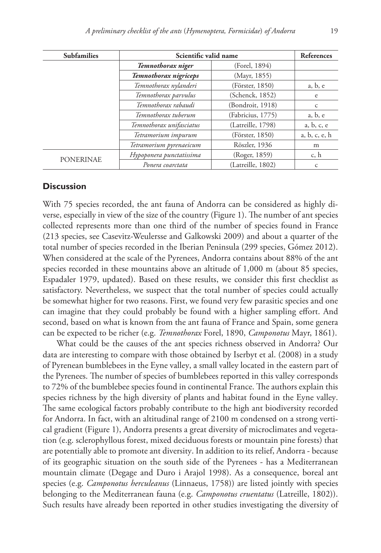| <b>Subfamilies</b> | Scientific valid name    |                   | References    |
|--------------------|--------------------------|-------------------|---------------|
|                    | Temnothorax niger        | (Forel, 1894)     |               |
|                    | Temnothorax nigriceps    | (Mayr, 1855)      |               |
|                    | Temnothorax nylanderi    | (Förster, 1850)   | a, b, e       |
|                    | Temnothorax parvulus     | (Schenck, 1852)   | e             |
|                    | Temnothorax rabaudi      | (Bondroit, 1918)  | $\mathsf{C}$  |
|                    | Temnothorax tuberum      | (Fabricius, 1775) | a, b, e       |
|                    | Temnothorax unifasciatus | (Latreille, 1798) | a, b, c, e    |
|                    | Tetramorium impurum      | (Förster, 1850)   | a, b, c, e, h |
|                    | Tetramorium pyrenaeicum  | Röszler, 1936     | m             |
| <b>PONERINAE</b>   | Hypoponera punctatissima | (Roger, 1859)     | c, h          |
|                    | Ponera coarctata         | (Latreille, 1802) | $\mathsf{C}$  |

### **Discussion**

With 75 species recorded, the ant fauna of Andorra can be considered as highly diverse, especially in view of the size of the country (Figure 1). The number of ant species collected represents more than one third of the number of species found in France (213 species, see Casevitz-Weulersse and Galkowski 2009) and about a quarter of the total number of species recorded in the Iberian Peninsula (299 species, Gómez 2012). When considered at the scale of the Pyrenees, Andorra contains about 88% of the ant species recorded in these mountains above an altitude of 1,000 m (about 85 species, Espadaler 1979, updated). Based on these results, we consider this first checklist as satisfactory. Nevertheless, we suspect that the total number of species could actually be somewhat higher for two reasons. First, we found very few parasitic species and one can imagine that they could probably be found with a higher sampling effort. And second, based on what is known from the ant fauna of France and Spain, some genera can be expected to be richer (e.g. *Temnothorax* Forel, 1890, *Camponotus* Mayr, 1861).

What could be the causes of the ant species richness observed in Andorra? Our data are interesting to compare with those obtained by Iserbyt et al. (2008) in a study of Pyrenean bumblebees in the Eyne valley, a small valley located in the eastern part of the Pyrenees. The number of species of bumblebees reported in this valley corresponds to 72% of the bumblebee species found in continental France. The authors explain this species richness by the high diversity of plants and habitat found in the Eyne valley. The same ecological factors probably contribute to the high ant biodiversity recorded for Andorra. In fact, with an altitudinal range of 2100 m condensed on a strong vertical gradient (Figure 1), Andorra presents a great diversity of microclimates and vegetation (e.g. sclerophyllous forest, mixed deciduous forests or mountain pine forests) that are potentially able to promote ant diversity. In addition to its relief, Andorra - because of its geographic situation on the south side of the Pyrenees - has a Mediterranean mountain climate (Degage and Duro i Arajol 1998). As a consequence, boreal ant species (e.g. *Camponotus herculeanus* (Linnaeus, 1758)) are listed jointly with species belonging to the Mediterranean fauna (e.g. *Camponotus cruentatus* (Latreille, 1802)). Such results have already been reported in other studies investigating the diversity of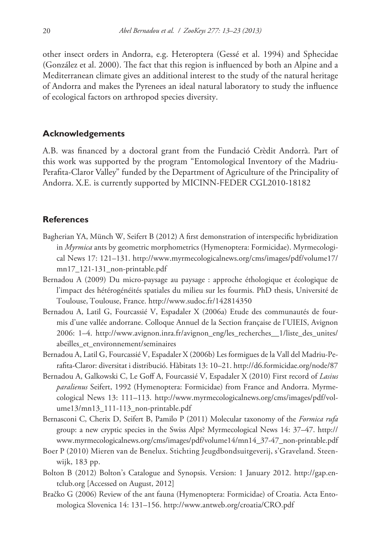other insect orders in Andorra, e.g. Heteroptera (Gessé et al. 1994) and Sphecidae (González et al. 2000). The fact that this region is influenced by both an Alpine and a Mediterranean climate gives an additional interest to the study of the natural heritage of Andorra and makes the Pyrenees an ideal natural laboratory to study the influence of ecological factors on arthropod species diversity.

## **Acknowledgements**

A.B. was financed by a doctoral grant from the Fundació Crèdit Andorrà. Part of this work was supported by the program "Entomological Inventory of the Madriu-Perafita-Claror Valley" funded by the Department of Agriculture of the Principality of Andorra. X.E. is currently supported by MICINN-FEDER CGL2010-18182

## **References**

- Bagherian YA, Münch W, Seifert B (2012) A first demonstration of interspecific hybridization in *Myrmica* ants by geometric morphometrics (Hymenoptera: Formicidae). Myrmecological News 17: 121–131. [http://www.myrmecologicalnews.org/cms/images/pdf/volume17/](http://www.myrmecologicalnews.org/cms/images/pdf/volume17/mn17_121-131_non-printable.pdf) [mn17\\_121-131\\_non-printable.pdf](http://www.myrmecologicalnews.org/cms/images/pdf/volume17/mn17_121-131_non-printable.pdf)
- Bernadou A (2009) Du micro-paysage au paysage : approche éthologique et écologique de l'impact des hétérogénéités spatiales du milieu sur les fourmis. PhD thesis, Université de Toulouse, Toulouse, France.<http://www.sudoc.fr/142814350>
- Bernadou A, Latil G, Fourcassié V, Espadaler X (2006a) Etude des communautés de fourmis d'une vallée andorrane. Colloque Annuel de la Section française de l'UIEIS, Avignon 2006: 1–4. [http://www.avignon.inra.fr/avignon\\_eng/les\\_recherches\\_\\_1/liste\\_des\\_unites/](http://www.avignon.inra.fr/avignon_eng/les_recherches__1/liste_des_unites/abeilles_et_environnement/seminaires) [abeilles\\_et\\_environnement/seminaires](http://www.avignon.inra.fr/avignon_eng/les_recherches__1/liste_des_unites/abeilles_et_environnement/seminaires)
- Bernadou A, Latil G, Fourcassié V, Espadaler X (2006b) Les formigues de la Vall del Madriu-Perafita-Claror: diversitat i distribució. Hàbitats 13: 10–21.<http://d6.formicidae.org/node/87>
- Bernadou A, Galkowski C, Le Goff A, Fourcassié V, Espadaler X (2010) First record of *Lasius paralienus* Seifert, 1992 (Hymenoptera: Formicidae) from France and Andorra. Myrmecological News 13: 111–113. [http://www.myrmecologicalnews.org/cms/images/pdf/vol](http://www.myrmecologicalnews.org/cms/images/pdf/volume13/mn13_111-113_non-printable.pdf)[ume13/mn13\\_111-113\\_non-printable.pdf](http://www.myrmecologicalnews.org/cms/images/pdf/volume13/mn13_111-113_non-printable.pdf)
- Bernasconi C, Cherix D, Seifert B, Pamilo P (2011) Molecular taxonomy of the *Formica rufa* group: a new cryptic species in the Swiss Alps? Myrmecological News 14: 37–47. [http://](http://www.myrmecologicalnews.org/cms/images/pdf/volume14/mn14_37-47_non-printable.pdf) [www.myrmecologicalnews.org/cms/images/pdf/volume14/mn14\\_37-47\\_non-printable.pdf](http://www.myrmecologicalnews.org/cms/images/pdf/volume14/mn14_37-47_non-printable.pdf)
- Boer P (2010) Mieren van de Benelux. Stichting Jeugdbondsuitgeverij, s'Graveland. Steenwijk, 183 pp.
- Bolton B (2012) Bolton's Catalogue and Synopsis. Version: 1 January 2012. [http://gap.en](http://gap.entclub.org)[tclub.org](http://gap.entclub.org) [Accessed on August, 2012]
- Bračko G (2006) Review of the ant fauna (Hymenoptera: Formicidae) of Croatia. Acta Entomologica Slovenica 14: 131–156. <http://www.antweb.org/croatia/CRO.pdf>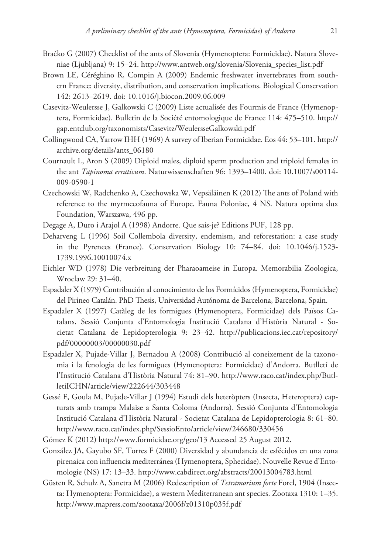- Bračko G (2007) Checklist of the ants of Slovenia (Hymenoptera: Formicidae). Natura Sloveniae (Ljubljana) 9: 15–24. [http://www.antweb.org/slovenia/Slovenia\\_species\\_list.pdf](http://www.antweb.org/slovenia/Slovenia_species_list.pdf)
- Brown LE, Céréghino R, Compin A (2009) Endemic freshwater invertebrates from southern France: diversity, distribution, and conservation implications. Biological Conservation 142: 2613–2619. [doi: 10.1016/j.biocon.2009.06.009](http://dx.doi.org/10.1016/j.biocon.2009.06.009)
- Casevitz-Weulersse J, Galkowski C (2009) Liste actualisée des Fourmis de France (Hymenoptera, Formicidae). Bulletin de la Société entomologique de France 114: 475–510. [http://](http://gap.entclub.org/taxonomists/Casevitz/WeulersseGalkowski.pdf) [gap.entclub.org/taxonomists/Casevitz/WeulersseGalkowski.pdf](http://gap.entclub.org/taxonomists/Casevitz/WeulersseGalkowski.pdf)
- Collingwood CA, Yarrow IHH (1969) A survey of Iberian Formicidae. Eos 44: 53–101. [http://](http://archive.org/details/ants_06180) [archive.org/details/ants\\_06180](http://archive.org/details/ants_06180)
- Cournault L, Aron S (2009) Diploid males, diploid sperm production and triploid females in the ant *Tapinoma erraticum*. Naturwissenschaften 96: 1393–1400. [doi: 10.1007/s00114-](http://dx.doi.org/10.1007/s00114-009-0590-1) [009-0590-1](http://dx.doi.org/10.1007/s00114-009-0590-1)
- Czechowski W, Radchenko A, Czechowska W, Vepsäläinen K (2012) The ants of Poland with reference to the myrmecofauna of Europe. Fauna Poloniae, 4 NS. Natura optima dux Foundation, Warszawa, 496 pp.
- Degage A, Duro i Arajol A (1998) Andorre. Que sais-je? Editions PUF, 128 pp.
- Deharveng L (1996) Soil Collembola diversity, endemism, and reforestation: a case study in the Pyrenees (France). Conservation Biology 10: 74–84. doi: 10.1046/j.1523- 1739.1996.10010074.x
- Eichler WD (1978) Die verbreitung der Pharaoameise in Europa. Memorabilia Zoologica, Wroclaw 29: 31–40.
- Espadaler X (1979) Contribución al conocimiento de los Formícidos (Hymenoptera, Formicidae) del Pirineo Catalán. PhD Thesis, Universidad Autónoma de Barcelona, Barcelona, Spain.
- Espadaler X (1997) Catàleg de les formigues (Hymenoptera, Formicidae) dels Països Catalans. Sessió Conjunta d'Entomologia Institució Catalana d'Història Natural - Societat Catalana de Lepidopterologia 9: 23–42. [http://publicacions.iec.cat/repository/](http://publicacions.iec.cat/repository/pdf/00000003/00000030.pdf) [pdf/00000003/00000030.pdf](http://publicacions.iec.cat/repository/pdf/00000003/00000030.pdf)
- Espadaler X, Pujade-Villar J, Bernadou A (2008) Contribució al coneixement de la taxonomia i la fenologia de les formigues (Hymenoptera: Formicidae) d'Andorra. Butlletí de l'Institució Catalana d'Història Natural 74: 81–90. [http://www.raco.cat/index.php/Butl](http://www.raco.cat/index.php/ButlletiICHN/article/view/222644/303448)[letiICHN/article/view/222644/303448](http://www.raco.cat/index.php/ButlletiICHN/article/view/222644/303448)
- Gessé F, Goula M, Pujade-Villar J (1994) Estudi dels heteròpters (Insecta, Heteroptera) capturats amb trampa Malaise a Santa Coloma (Andorra). Sessió Conjunta d'Entomologia Institució Catalana d'Història Natural - Societat Catalana de Lepidopterologia 8: 61–80. <http://www.raco.cat/index.php/SessioEnto/article/view/246680/330456>
- Gómez K (2012)<http://www.formicidae.org/geo/13>Accessed 25 August 2012.
- González JA, Gayubo SF, Torres F (2000) Diversidad y abundancia de esfécidos en una zona pirenaica con influencia mediterránea (Hymenoptera, Sphecidae). Nouvelle Revue d'Entomologie (NS) 17: 13–33. <http://www.cabdirect.org/abstracts/20013004783.html>
- Güsten R, Schulz A, Sanetra M (2006) Redescription of *Tetramorium forte* Forel, 1904 (Insecta: Hymenoptera: Formicidae), a western Mediterranean ant species. Zootaxa 1310: 1–35. <http://www.mapress.com/zootaxa/2006f/z01310p035f.pdf>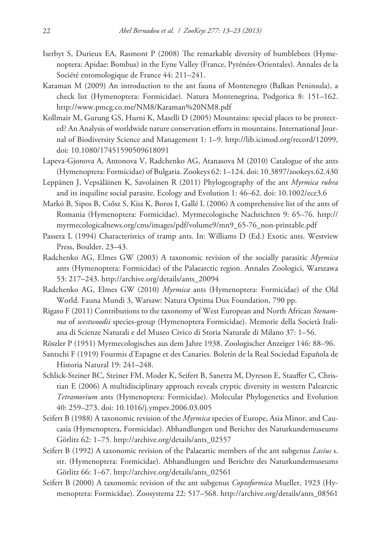- Iserbyt S, Durieux EA, Rasmont P (2008) The remarkable diversity of bumblebees (Hymenoptera: Apidae: Bombus) in the Eyne Valley (France, Pyrénées-Orientales). Annales de la Société entomologique de France 44: 211–241.
- Karaman M (2009) An introduction to the ant fauna of Montenegro (Balkan Peninsula), a check list (Hymenoptera: Formicidae). Natura Montenegrina, Podgorica 8: 151–162. <http://www.pmcg.co.me/NM8/Karaman%20NM8.pdf>
- Kollmair M, Gurung GS, Hurni K, Maselli D (2005) Mountains: special places to be protected? An Analysis of worldwide nature conservation efforts in mountains. International Journal of Biodiversity Science and Management 1: 1–9. [http://lib.icimod.org/record/12099,](http://lib.icimod.org/record/12099) [doi: 10.1080/17451590509618091](http://dx.doi.org/10.1080/17451590509618091)
- Lapeva-Gjonova A, Antonova V, Radchenko AG, Atanasova M (2010) Catalogue of the ants (Hymenoptera: Formicidae) of Bulgaria. Zookeys 62: 1–124. [doi: 10.3897/zookeys.62.430](http://dx.doi.org/10.3897/zookeys.62.430)
- Leppänen J, Vepsäläinen K, Savolainen R (2011) Phylogeography of the ant *Myrmica rubra* and its inquiline social parasite. Ecology and Evolution 1: 46–62. [doi: 10.1002/ece3.6](http://dx.doi.org/10.1002/ece3.6)
- Markó B, Sipos B, Csősz S, Kiss K, Boros I, Gallé L (2006) A comprehensive list of the ants of Romania (Hymenoptera: Formicidae). Myrmecologische Nachrichten 9: 65–76. [http://](http://myrmecologicalnews.org/cms/images/pdf/volume9/mn9_65-76_non-printable.pdf) [myrmecologicalnews.org/cms/images/pdf/volume9/mn9\\_65-76\\_non-printable.pdf](http://myrmecologicalnews.org/cms/images/pdf/volume9/mn9_65-76_non-printable.pdf)
- Passera L (1994) Characteristics of tramp ants. In: Williams D (Ed.) Exotic ants. Westview Press, Boulder, 23–43.
- Radchenko AG, Elmes GW (2003) A taxonomic revision of the socially parasitic *Myrmica* ants (Hymenoptera: Formicidae) of the Palaearctic region. Annales Zoologici, Warszawa 53: 217–243. [http://archive.org/details/ants\\_20094](http://archive.org/details/ants_20094)
- Radchenko AG, Elmes GW (2010) *Myrmica* ants (Hymenoptera: Formicidae) of the Old World. Fauna Mundi 3, Warsaw: Natura Optima Dux Foundation, 790 pp.
- Rigato F (2011) Contributions to the taxonomy of West European and North African *Stenamma* of *westwoodii* species-group (Hymenoptera Formicidae). Memorie della Società Italiana di Scienze Naturali e del Museo Civico di Storia Naturale di Milano 37: 1–56.
- Röszler P (1951) Myrmecologisches aus dem Jahre 1938. Zoologischer Anzeiger 146: 88–96.
- Santschi F (1919) Fourmis d'Espagne et des Canaries. Boletín de la Real Sociedad Española de Historia Natural 19: 241–248.
- Schlick-Steiner BC, Steiner FM, Moder K, Seifert B, Sanetra M, Dyreson E, Stauffer C, Christian E (2006) A multidisciplinary approach reveals cryptic diversity in western Palearctic *Tetramorium* ants (Hymenoptera: Formicidae). Molecular Phylogenetics and Evolution 40: 259–273. [doi: 10.1016/j.ympev.2006.03.005](http://dx.doi.org/10.1016/j.ympev.2006.03.005)
- Seifert B (1988) A taxonomic revision of the *Myrmica* species of Europe, Asia Minor, and Caucasia (Hymenoptera, Formicidae). Abhandlungen und Berichte des Naturkundemuseums Görlitz 62: 1–75. [http://archive.org/details/ants\\_02557](http://archive.org/details/ants_02557)
- Seifert B (1992) A taxonomic revision of the Palaeartic members of the ant subgenus *Lasius* s. str. (Hymenoptera: Formicidae). Abhandlungen und Berichte des Naturkundemuseums Görlitz 66: 1–67. [http://archive.org/details/ants\\_02561](http://archive.org/details/ants_02561)
- Seifert B (2000) A taxonomic revision of the ant subgenus *Coptoformica* Mueller, 1923 (Hymenoptera: Formicidae). Zoosystema 22: 517–568. [http://archive.org/details/ants\\_08561](http://archive.org/details/ants_08561)